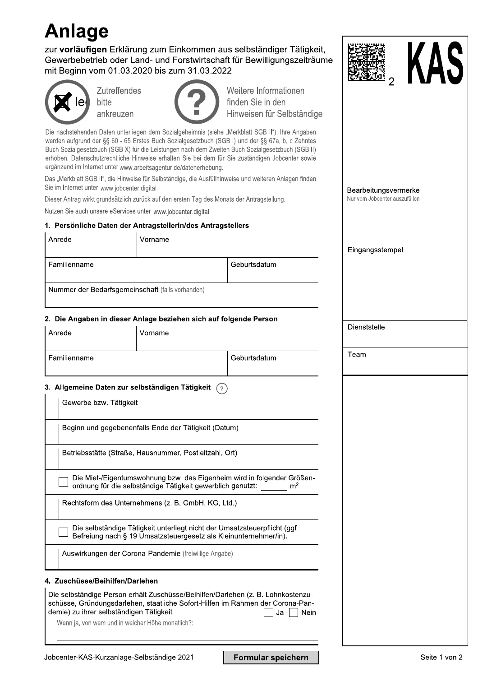# **Anlage**

zur vorläufigen Erklärung zum Einkommen aus selbständiger Tätigkeit, Gewerbebetrieb oder Land- und Forstwirtschaft für Bewilligungszeiträume



| mit Beginn vom 01.03.2020 bis zum 31.03.2022                                               |                                                            |                                                                                                                                                                                                                                                                                                                                                                                                              |                                                       |
|--------------------------------------------------------------------------------------------|------------------------------------------------------------|--------------------------------------------------------------------------------------------------------------------------------------------------------------------------------------------------------------------------------------------------------------------------------------------------------------------------------------------------------------------------------------------------------------|-------------------------------------------------------|
| <b>Zutreffendes</b><br>bitte<br>ankreuzen                                                  |                                                            | Weitere Informationen<br>finden Sie in den<br>Hinweisen für Selbständige                                                                                                                                                                                                                                                                                                                                     |                                                       |
| ergänzend im Internet unter www.arbeitsagentur.de/datenerhebung.                           |                                                            | Die nachstehenden Daten unterliegen dem Sozialgeheimnis (siehe "Merkblatt SGB II"). Ihre Angaben<br>werden aufgrund der §§ 60 - 65 Erstes Buch Sozialgesetzbuch (SGB I) und der §§ 67a, b, c Zehntes<br>Buch Sozialgesetzbuch (SGB X) für die Leistungen nach dem Zweiten Buch Sozialgesetzbuch (SGB II)<br>erhoben. Datenschutzrechtliche Hinweise erhalten Sie bei dem für Sie zuständigen Jobcenter sowie |                                                       |
| Sie im Internet unter www.jobcenter.digital.                                               |                                                            | Das "Merkblatt SGB II", die Hinweise für Selbständige, die Ausfüllhinweise und weiteren Anlagen finden                                                                                                                                                                                                                                                                                                       |                                                       |
| Dieser Antrag wirkt grundsätzlich zurück auf den ersten Tag des Monats der Antragstellung. |                                                            |                                                                                                                                                                                                                                                                                                                                                                                                              | Bearbeitungsvermerke<br>Nur vom Jobcenter auszufüllen |
| Nutzen Sie auch unsere eServices unter www.jobcenter.digital.                              |                                                            |                                                                                                                                                                                                                                                                                                                                                                                                              |                                                       |
| 1. Persönliche Daten der Antragstellerin/des Antragstellers                                |                                                            |                                                                                                                                                                                                                                                                                                                                                                                                              |                                                       |
| Anrede                                                                                     | Vorname                                                    |                                                                                                                                                                                                                                                                                                                                                                                                              |                                                       |
|                                                                                            |                                                            |                                                                                                                                                                                                                                                                                                                                                                                                              | Eingangsstempel                                       |
| Familienname                                                                               |                                                            | Geburtsdatum                                                                                                                                                                                                                                                                                                                                                                                                 |                                                       |
|                                                                                            | Nummer der Bedarfsgemeinschaft (falls vorhanden)           |                                                                                                                                                                                                                                                                                                                                                                                                              |                                                       |
|                                                                                            |                                                            |                                                                                                                                                                                                                                                                                                                                                                                                              |                                                       |
| 2. Die Angaben in dieser Anlage beziehen sich auf folgende Person                          |                                                            |                                                                                                                                                                                                                                                                                                                                                                                                              |                                                       |
| Anrede                                                                                     | Vorname                                                    |                                                                                                                                                                                                                                                                                                                                                                                                              | Dienststelle                                          |
| Familienname                                                                               |                                                            | Geburtsdatum                                                                                                                                                                                                                                                                                                                                                                                                 | Team                                                  |
|                                                                                            |                                                            |                                                                                                                                                                                                                                                                                                                                                                                                              |                                                       |
| 3. Allgemeine Daten zur selbständigen Tätigkeit<br>Gewerbe bzw. Tätigkeit                  |                                                            | (?)                                                                                                                                                                                                                                                                                                                                                                                                          |                                                       |
|                                                                                            | Beginn und gegebenenfalls Ende der Tätigkeit (Datum)       |                                                                                                                                                                                                                                                                                                                                                                                                              |                                                       |
|                                                                                            | Betriebsstätte (Straße, Hausnummer, Postleitzahl, Ort)     |                                                                                                                                                                                                                                                                                                                                                                                                              |                                                       |
|                                                                                            | ordnung für die selbständige Tätigkeit gewerblich genutzt: | Die Miet-/Eigentumswohnung bzw. das Eigenheim wird in folgender Größen-<br>m <sup>2</sup>                                                                                                                                                                                                                                                                                                                    |                                                       |
|                                                                                            | Rechtsform des Unternehmens (z. B. GmbH, KG, Ltd.)         |                                                                                                                                                                                                                                                                                                                                                                                                              |                                                       |
|                                                                                            |                                                            | Die selbständige Tätigkeit unterliegt nicht der Umsatzsteuerpflicht (ggf.<br>Befreiung nach § 19 Umsatzsteuergesetz als Kleinunternehmer/in).                                                                                                                                                                                                                                                                |                                                       |
|                                                                                            | Auswirkungen der Corona-Pandemie (freiwillige Angabe)      |                                                                                                                                                                                                                                                                                                                                                                                                              |                                                       |
| 4. Zuschüsse/Beihilfen/Darlehen                                                            |                                                            |                                                                                                                                                                                                                                                                                                                                                                                                              |                                                       |
| demie) zu ihrer selbständigen Tätigkeit.                                                   |                                                            | Die selbständige Person erhält Zuschüsse/Beihilfen/Darlehen (z. B. Lohnkostenzu-<br>schüsse, Gründungsdarlehen, staatliche Sofort-Hilfen im Rahmen der Corona-Pan-<br>Ja<br>Nein                                                                                                                                                                                                                             |                                                       |
| Wenn ja, von wem und in welcher Höhe monatlich?:                                           |                                                            |                                                                                                                                                                                                                                                                                                                                                                                                              |                                                       |

Formular speichern